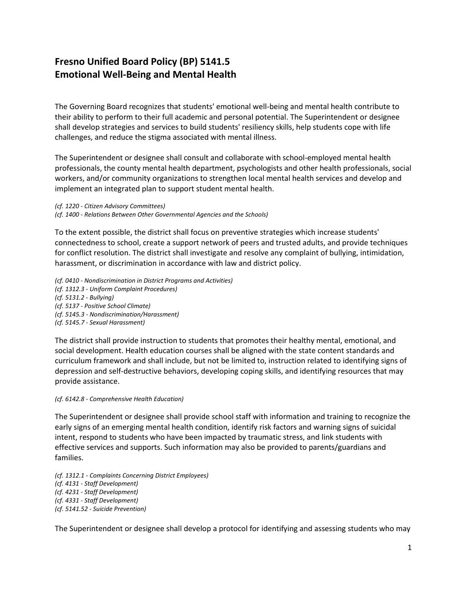## **Fresno Unified Board Policy (BP) 5141.5 Emotional Well-Being and Mental Health**

The Governing Board recognizes that students' emotional well-being and mental health contribute to their ability to perform to their full academic and personal potential. The Superintendent or designee shall develop strategies and services to build students' resiliency skills, help students cope with life challenges, and reduce the stigma associated with mental illness.

The Superintendent or designee shall consult and collaborate with school-employed mental health professionals, the county mental health department, psychologists and other health professionals, social workers, and/or community organizations to strengthen local mental health services and develop and implement an integrated plan to support student mental health.

*(cf. 1220 - Citizen Advisory Committees)*

*(cf. 1400 - Relations Between Other Governmental Agencies and the Schools)*

To the extent possible, the district shall focus on preventive strategies which increase students' connectedness to school, create a support network of peers and trusted adults, and provide techniques for conflict resolution. The district shall investigate and resolve any complaint of bullying, intimidation, harassment, or discrimination in accordance with law and district policy.

*(cf. 0410 - Nondiscrimination in District Programs and Activities)*

*(cf. 1312.3 - Uniform Complaint Procedures)*

*(cf. 5131.2 - Bullying)*

- *(cf. 5137 - Positive School Climate)*
- *(cf. 5145.3 - Nondiscrimination/Harassment)*
- *(cf. 5145.7 - Sexual Harassment)*

The district shall provide instruction to students that promotes their healthy mental, emotional, and social development. Health education courses shall be aligned with the state content standards and curriculum framework and shall include, but not be limited to, instruction related to identifying signs of depression and self-destructive behaviors, developing coping skills, and identifying resources that may provide assistance.

## *(cf. 6142.8 - Comprehensive Health Education)*

The Superintendent or designee shall provide school staff with information and training to recognize the early signs of an emerging mental health condition, identify risk factors and warning signs of suicidal intent, respond to students who have been impacted by traumatic stress, and link students with effective services and supports. Such information may also be provided to parents/guardians and families.

*(cf. 1312.1 - Complaints Concerning District Employees) (cf. 4131 - Staff Development) (cf. 4231 - Staff Development) (cf. 4331 - Staff Development) (cf. 5141.52 - Suicide Prevention)*

The Superintendent or designee shall develop a protocol for identifying and assessing students who may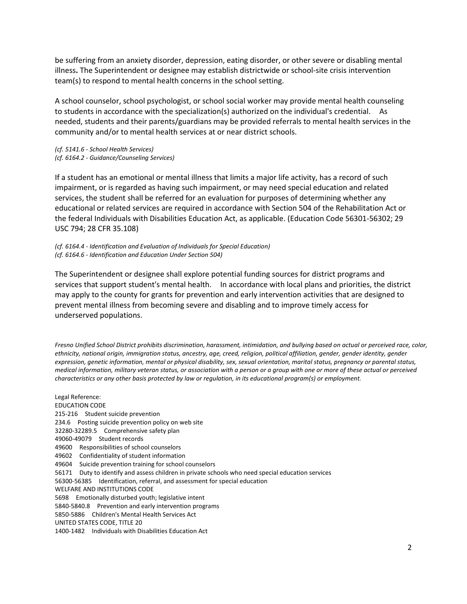be suffering from an anxiety disorder, depression, eating disorder, or other severe or disabling mental illness**.** The Superintendent or designee may establish districtwide or school-site crisis intervention team(s) to respond to mental health concerns in the school setting.

A school counselor, school psychologist, or school social worker may provide mental health counseling to students in accordance with the specialization(s) authorized on the individual's credential. As needed, students and their parents/guardians may be provided referrals to mental health services in the community and/or to mental health services at or near district schools.

*(cf. 5141.6 - School Health Services) (cf. 6164.2 - Guidance/Counseling Services)*

If a student has an emotional or mental illness that limits a major life activity, has a record of such impairment, or is regarded as having such impairment, or may need special education and related services, the student shall be referred for an evaluation for purposes of determining whether any educational or related services are required in accordance with Section 504 of the Rehabilitation Act or the federal Individuals with Disabilities Education Act, as applicable. (Education Code 56301-56302; 29 USC 794; 28 CFR 35.108)

*(cf. 6164.4 - Identification and Evaluation of Individuals for Special Education) (cf. 6164.6 - Identification and Education Under Section 504)*

The Superintendent or designee shall explore potential funding sources for district programs and services that support student's mental health. In accordance with local plans and priorities, the district may apply to the county for grants for prevention and early intervention activities that are designed to prevent mental illness from becoming severe and disabling and to improve timely access for underserved populations.

*Fresno Unified School District prohibits discrimination, harassment, intimidation, and bullying based on actual or perceived race, color, ethnicity, national origin, immigration status, ancestry, age, creed, religion, political affiliation, gender, gender identity, gender expression, genetic information, mental or physical disability, sex, sexual orientation, marital status, pregnancy or parental status, medical information, military veteran status, or association with a person or a group with one or more of these actual or perceived characteristics or any other basis protected by law or regulation, in its educational program(s) or employment.*

Legal Reference: EDUCATION CODE 215-216 Student suicide prevention 234.6 Posting suicide prevention policy on web site 32280-32289.5 Comprehensive safety plan 49060-49079 Student records 49600 Responsibilities of school counselors 49602 Confidentiality of student information 49604 Suicide prevention training for school counselors 56171 Duty to identify and assess children in private schools who need special education services 56300-56385 Identification, referral, and assessment for special education WELFARE AND INSTITUTIONS CODE 5698 Emotionally disturbed youth; legislative intent 5840-5840.8 Prevention and early intervention programs 5850-5886 Children's Mental Health Services Act UNITED STATES CODE, TITLE 20 1400-1482 Individuals with Disabilities Education Act